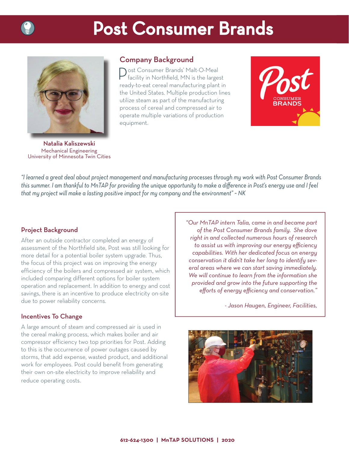

# **Post Consumer Brands**



Natalia Kaliszewski Mechanical Engineering University of Minnesota Twin Cities

# Company Background

**Nost Consumer Brands' Malt-O-Meal** facility in Northfield, MN is the largest ready-to-eat cereal manufacturing plant in the United States. Multiple production lines utilize steam as part of the manufacturing process of cereal and compressed air to operate multiple variations of production equipment.



*"I learned a great deal about project management and manufacturing processes through my work with Post Consumer Brands*  this summer. I am thankful to MnTAP for providing the unique opportunity to make a difference in Post's energy use and I feel *that my project will make a lasting positive impact for my company and the environment" ~ NK*

## Project Background

After an outside contractor completed an energy of assessment of the Northfield site, Post was still looking for more detail for a potential boiler system upgrade. Thus, the focus of this project was on improving the energy efficiency of the boilers and compressed air system, which included comparing different options for boiler system operation and replacement. In addition to energy and cost savings, there is an incentive to produce electricity on-site due to power reliability concerns.

## Incentives To Change

A large amount of steam and compressed air is used in the cereal making process, which makes boiler and air compressor efficiency two top priorities for Post. Adding to this is the occurrence of power outages caused by storms, that add expense, wasted product, and additional work for employees. Post could benefit from generating their own on-site electricity to improve reliability and reduce operating costs.

*"Our MnTAP intern Talia, came in and became part of the Post Consumer Brands family. She dove right in and collected numerous hours of research to assist us with improving our energy efficiency capabilities. With her dedicated focus on energy conservation it didn't take her long to identify several areas where we can start saving immediately. We will continue to learn from the information she provided and grow into the future supporting the*  efforts of energy efficiency and conservation."

*- Jason Haugen, Engineer, Facilities,*